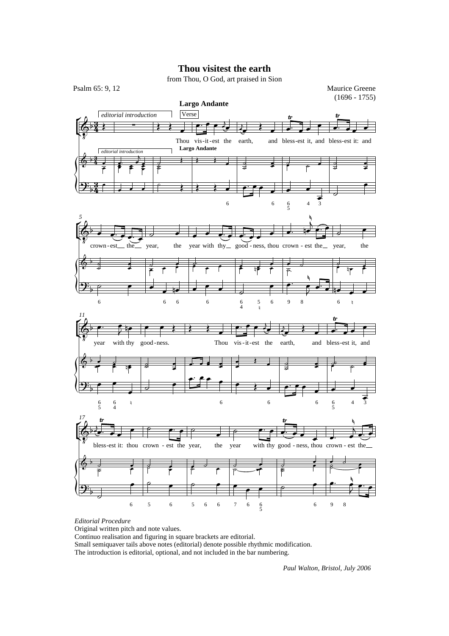## **Thou visitest the earth**

from Thou, O God, art praised in Sion



*Editorial Procedure*

Original written pitch and note values.

Continuo realisation and figuring in square brackets are editorial.

Small semiquaver tails above notes (editorial) denote possible rhythmic modification.

The introduction is editorial, optional, and not included in the bar numbering.

*Paul Walton, Bristol, July 2006*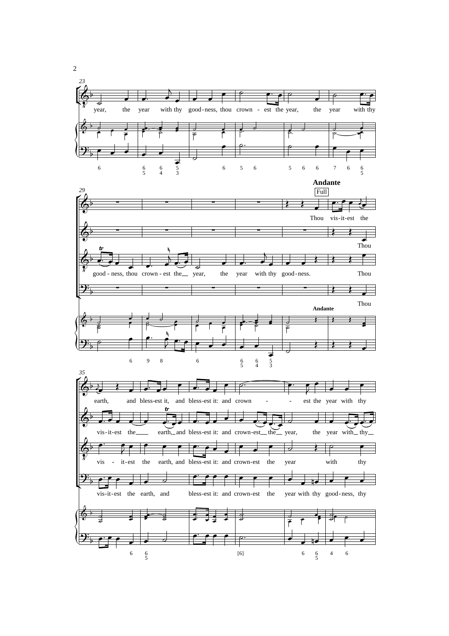

2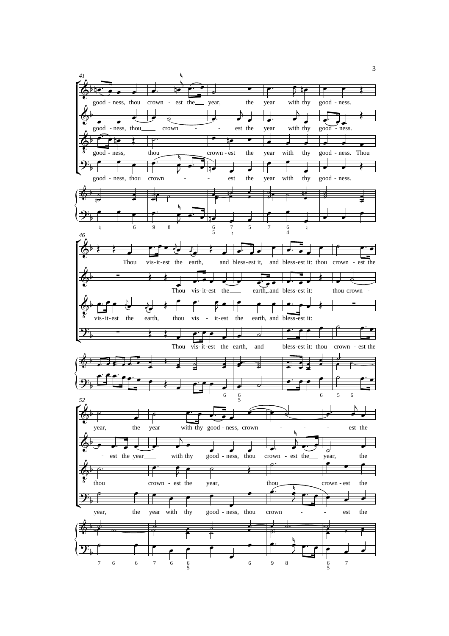

3